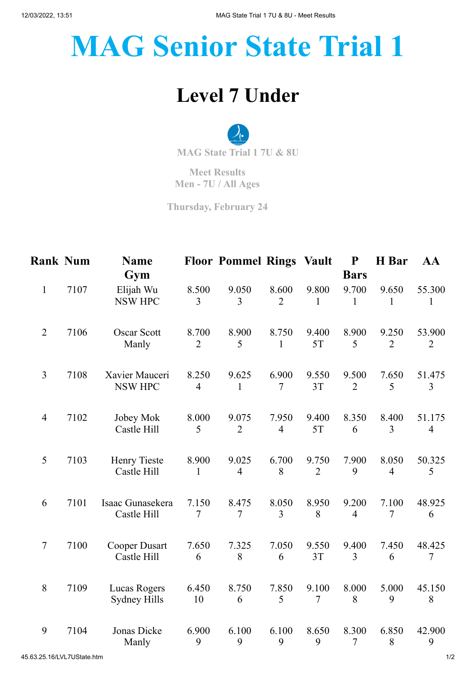## **MAG Senior State Trial 1**

## **Level 7 Under**

**MAG State Trial 1 7U & 8U**

**Meet Results Men - 7U / All Ages**

**Thursday, February 24**

| <b>Rank Num</b> |      | <b>Name</b><br>Gym                  |                         | <b>Floor Pommel Rings Vault</b> |                         |                         | ${\bf P}$<br><b>Bars</b> | H Bar                   | AA                       |
|-----------------|------|-------------------------------------|-------------------------|---------------------------------|-------------------------|-------------------------|--------------------------|-------------------------|--------------------------|
| $\mathbf{1}$    | 7107 | Elijah Wu<br><b>NSW HPC</b>         | 8.500<br>$\overline{3}$ | 9.050<br>3                      | 8.600<br>$\overline{2}$ | 9.800<br>1              | 9.700<br>1               | 9.650<br>1              | 55.300<br>1              |
| $\overline{2}$  | 7106 | <b>Oscar Scott</b><br>Manly         | 8.700<br>$\overline{2}$ | 8.900<br>5                      | 8.750<br>$\mathbf{1}$   | 9.400<br>5T             | 8.900<br>5               | 9.250<br>$\overline{2}$ | 53.900<br>$\overline{2}$ |
| $\overline{3}$  | 7108 | Xavier Mauceri<br><b>NSW HPC</b>    | 8.250<br>$\overline{4}$ | 9.625<br>$\mathbf{1}$           | 6.900<br>7              | 9.550<br>3T             | 9.500<br>$\overline{2}$  | 7.650<br>5              | 51.475<br>3              |
| $\overline{4}$  | 7102 | Jobey Mok<br>Castle Hill            | 8.000<br>5              | 9.075<br>$\overline{2}$         | 7.950<br>$\overline{4}$ | 9.400<br>5T             | 8.350<br>6               | 8.400<br>3              | 51.175<br>$\overline{4}$ |
| 5               | 7103 | Henry Tieste<br>Castle Hill         | 8.900<br>$\mathbf{1}$   | 9.025<br>$\overline{4}$         | 6.700<br>8              | 9.750<br>$\overline{2}$ | 7.900<br>9               | 8.050<br>$\overline{4}$ | 50.325<br>5              |
| 6               | 7101 | Isaac Gunasekera<br>Castle Hill     | 7.150<br>$\overline{7}$ | 8.475<br>7                      | 8.050<br>$\overline{3}$ | 8.950<br>8              | 9.200<br>$\overline{4}$  | 7.100<br>$\overline{7}$ | 48.925<br>6              |
| $\overline{7}$  | 7100 | <b>Cooper Dusart</b><br>Castle Hill | 7.650<br>6              | 7.325<br>8                      | 7.050<br>6              | 9.550<br>3T             | 9.400<br>3               | 7.450<br>6              | 48.425<br>$\tau$         |
| $8\,$           | 7109 | Lucas Rogers<br>Sydney Hills        | 6.450<br>10             | 8.750<br>6                      | 7.850<br>5              | 9.100<br>$\tau$         | 8.000<br>8               | 5.000<br>9              | 45.150<br>8              |
| 9               | 7104 | Jonas Dicke<br>Manly                | 6.900<br>9              | 6.100<br>9                      | 6.100<br>9              | 8.650<br>9              | 8.300<br>7               | 6.850<br>8              | 42.900<br>9              |